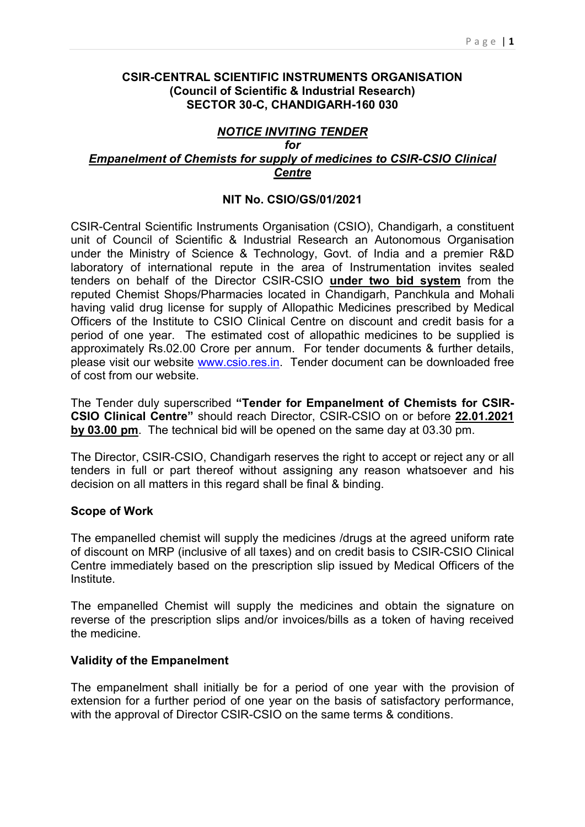#### CSIR-CENTRAL SCIENTIFIC INSTRUMENTS ORGANISATION (Council of Scientific & Industrial Research) SECTOR 30-C, CHANDIGARH-160 030

### NOTICE INVITING TENDER for

#### Empanelment of Chemists for supply of medicines to CSIR-CSIO Clinical **Centre**

#### NIT No. CSIO/GS/01/2021

CSIR-Central Scientific Instruments Organisation (CSIO), Chandigarh, a constituent unit of Council of Scientific & Industrial Research an Autonomous Organisation under the Ministry of Science & Technology, Govt. of India and a premier R&D laboratory of international repute in the area of Instrumentation invites sealed tenders on behalf of the Director CSIR-CSIO under two bid system from the reputed Chemist Shops/Pharmacies located in Chandigarh, Panchkula and Mohali having valid drug license for supply of Allopathic Medicines prescribed by Medical Officers of the Institute to CSIO Clinical Centre on discount and credit basis for a period of one year. The estimated cost of allopathic medicines to be supplied is approximately Rs.02.00 Crore per annum. For tender documents & further details, please visit our website www.csio.res.in. Tender document can be downloaded free of cost from our website.

The Tender duly superscribed "Tender for Empanelment of Chemists for CSIR-CSIO Clinical Centre" should reach Director, CSIR-CSIO on or before 22.01.2021 by 03.00 pm. The technical bid will be opened on the same day at 03.30 pm.

The Director, CSIR-CSIO, Chandigarh reserves the right to accept or reject any or all tenders in full or part thereof without assigning any reason whatsoever and his decision on all matters in this regard shall be final & binding.

#### Scope of Work

The empanelled chemist will supply the medicines /drugs at the agreed uniform rate of discount on MRP (inclusive of all taxes) and on credit basis to CSIR-CSIO Clinical Centre immediately based on the prescription slip issued by Medical Officers of the Institute.

The empanelled Chemist will supply the medicines and obtain the signature on reverse of the prescription slips and/or invoices/bills as a token of having received the medicine.

#### Validity of the Empanelment

The empanelment shall initially be for a period of one year with the provision of extension for a further period of one year on the basis of satisfactory performance, with the approval of Director CSIR-CSIO on the same terms & conditions.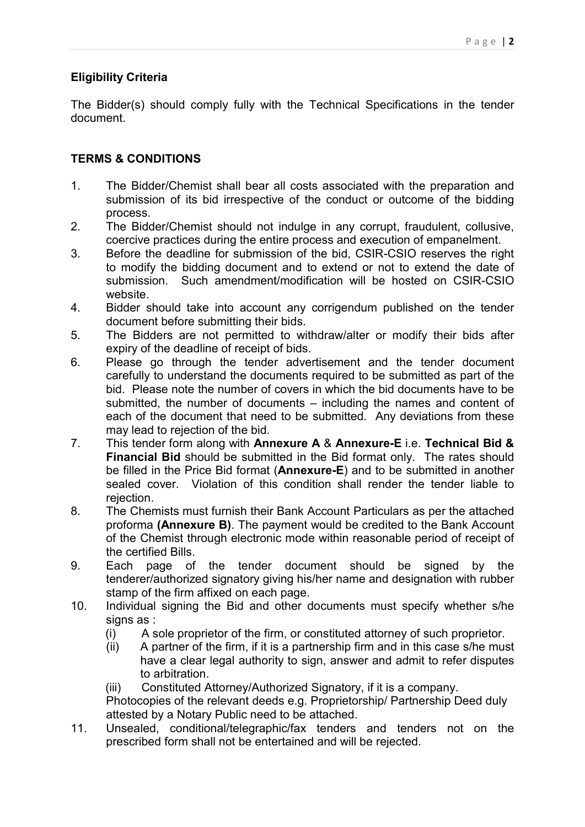# Eligibility Criteria

The Bidder(s) should comply fully with the Technical Specifications in the tender document.

# TERMS & CONDITIONS

- 1. The Bidder/Chemist shall bear all costs associated with the preparation and submission of its bid irrespective of the conduct or outcome of the bidding process.
- 2. The Bidder/Chemist should not indulge in any corrupt, fraudulent, collusive, coercive practices during the entire process and execution of empanelment.
- 3. Before the deadline for submission of the bid, CSIR-CSIO reserves the right to modify the bidding document and to extend or not to extend the date of submission. Such amendment/modification will be hosted on CSIR-CSIO website.
- 4. Bidder should take into account any corrigendum published on the tender document before submitting their bids.
- 5. The Bidders are not permitted to withdraw/alter or modify their bids after expiry of the deadline of receipt of bids.
- 6. Please go through the tender advertisement and the tender document carefully to understand the documents required to be submitted as part of the bid. Please note the number of covers in which the bid documents have to be submitted, the number of documents – including the names and content of each of the document that need to be submitted. Any deviations from these may lead to rejection of the bid.
- 7. This tender form along with Annexure A & Annexure-E i.e. Technical Bid & Financial Bid should be submitted in the Bid format only. The rates should be filled in the Price Bid format (Annexure-E) and to be submitted in another sealed cover. Violation of this condition shall render the tender liable to rejection.
- 8. The Chemists must furnish their Bank Account Particulars as per the attached proforma (Annexure B). The payment would be credited to the Bank Account of the Chemist through electronic mode within reasonable period of receipt of the certified Bills.
- 9. Each page of the tender document should be signed by the tenderer/authorized signatory giving his/her name and designation with rubber stamp of the firm affixed on each page.
- 10. Individual signing the Bid and other documents must specify whether s/he signs as :
	- (i) A sole proprietor of the firm, or constituted attorney of such proprietor.
	- (ii) A partner of the firm, if it is a partnership firm and in this case s/he must have a clear legal authority to sign, answer and admit to refer disputes to arbitration.
	- (iii) Constituted Attorney/Authorized Signatory, if it is a company.

 Photocopies of the relevant deeds e.g. Proprietorship/ Partnership Deed duly attested by a Notary Public need to be attached.

11. Unsealed, conditional/telegraphic/fax tenders and tenders not on the prescribed form shall not be entertained and will be rejected.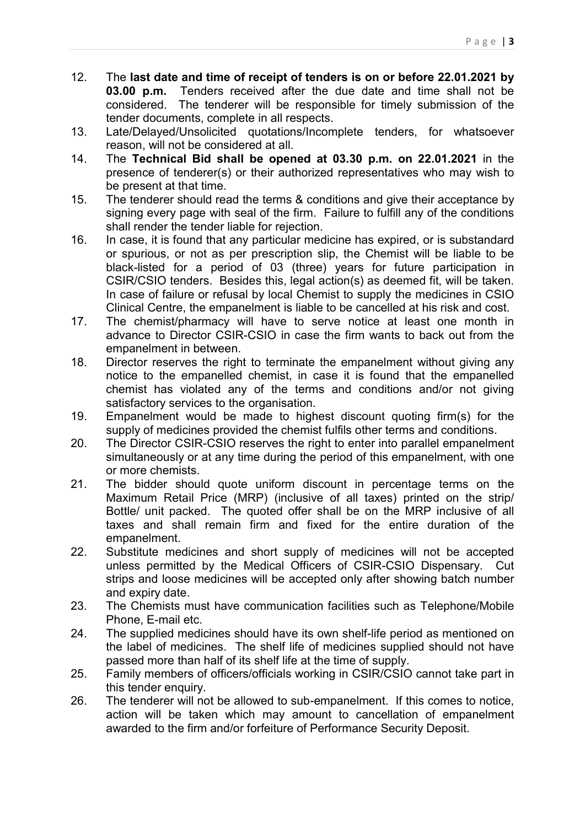- 12. The last date and time of receipt of tenders is on or before 22.01.2021 by **03.00 p.m.** Tenders received after the due date and time shall not be considered. The tenderer will be responsible for timely submission of the tender documents, complete in all respects.
- 13. Late/Delayed/Unsolicited quotations/Incomplete tenders, for whatsoever reason, will not be considered at all.
- 14. The Technical Bid shall be opened at 03.30 p.m. on 22.01.2021 in the presence of tenderer(s) or their authorized representatives who may wish to be present at that time.
- 15. The tenderer should read the terms & conditions and give their acceptance by signing every page with seal of the firm. Failure to fulfill any of the conditions shall render the tender liable for rejection.
- 16. In case, it is found that any particular medicine has expired, or is substandard or spurious, or not as per prescription slip, the Chemist will be liable to be black-listed for a period of 03 (three) years for future participation in CSIR/CSIO tenders. Besides this, legal action(s) as deemed fit, will be taken. In case of failure or refusal by local Chemist to supply the medicines in CSIO Clinical Centre, the empanelment is liable to be cancelled at his risk and cost.
- 17. The chemist/pharmacy will have to serve notice at least one month in advance to Director CSIR-CSIO in case the firm wants to back out from the empanelment in between.
- 18. Director reserves the right to terminate the empanelment without giving any notice to the empanelled chemist, in case it is found that the empanelled chemist has violated any of the terms and conditions and/or not giving satisfactory services to the organisation.
- 19. Empanelment would be made to highest discount quoting firm(s) for the supply of medicines provided the chemist fulfils other terms and conditions.
- 20. The Director CSIR-CSIO reserves the right to enter into parallel empanelment simultaneously or at any time during the period of this empanelment, with one or more chemists.
- 21. The bidder should quote uniform discount in percentage terms on the Maximum Retail Price (MRP) (inclusive of all taxes) printed on the strip/ Bottle/ unit packed. The quoted offer shall be on the MRP inclusive of all taxes and shall remain firm and fixed for the entire duration of the empanelment.
- 22. Substitute medicines and short supply of medicines will not be accepted unless permitted by the Medical Officers of CSIR-CSIO Dispensary. Cut strips and loose medicines will be accepted only after showing batch number and expiry date.
- 23. The Chemists must have communication facilities such as Telephone/Mobile Phone, E-mail etc.
- 24. The supplied medicines should have its own shelf-life period as mentioned on the label of medicines. The shelf life of medicines supplied should not have passed more than half of its shelf life at the time of supply.
- 25. Family members of officers/officials working in CSIR/CSIO cannot take part in this tender enquiry.
- 26. The tenderer will not be allowed to sub-empanelment. If this comes to notice, action will be taken which may amount to cancellation of empanelment awarded to the firm and/or forfeiture of Performance Security Deposit.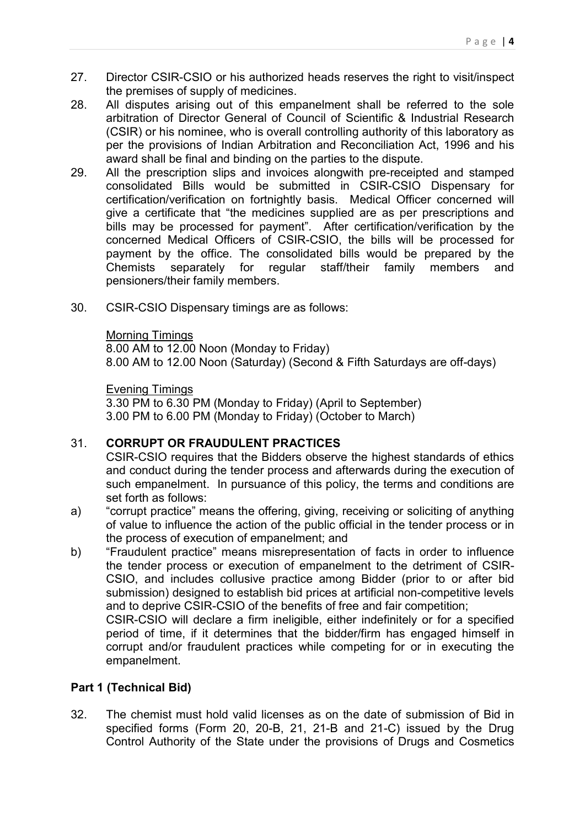- 27. Director CSIR-CSIO or his authorized heads reserves the right to visit/inspect the premises of supply of medicines.
- 28. All disputes arising out of this empanelment shall be referred to the sole arbitration of Director General of Council of Scientific & Industrial Research (CSIR) or his nominee, who is overall controlling authority of this laboratory as per the provisions of Indian Arbitration and Reconciliation Act, 1996 and his award shall be final and binding on the parties to the dispute.
- 29. All the prescription slips and invoices alongwith pre-receipted and stamped consolidated Bills would be submitted in CSIR-CSIO Dispensary for certification/verification on fortnightly basis. Medical Officer concerned will give a certificate that "the medicines supplied are as per prescriptions and bills may be processed for payment". After certification/verification by the concerned Medical Officers of CSIR-CSIO, the bills will be processed for payment by the office. The consolidated bills would be prepared by the<br>Chemists separately for regular staff/their family members and Chemists separately for regular staff/their family members and pensioners/their family members.
- 30. CSIR-CSIO Dispensary timings are as follows:

## Morning Timings

 8.00 AM to 12.00 Noon (Monday to Friday) 8.00 AM to 12.00 Noon (Saturday) (Second & Fifth Saturdays are off-days)

## Evening Timings

 3.30 PM to 6.30 PM (Monday to Friday) (April to September) 3.00 PM to 6.00 PM (Monday to Friday) (October to March)

# 31. CORRUPT OR FRAUDULENT PRACTICES

CSIR-CSIO requires that the Bidders observe the highest standards of ethics and conduct during the tender process and afterwards during the execution of such empanelment. In pursuance of this policy, the terms and conditions are set forth as follows:

- a) "corrupt practice" means the offering, giving, receiving or soliciting of anything of value to influence the action of the public official in the tender process or in the process of execution of empanelment; and
- b) "Fraudulent practice" means misrepresentation of facts in order to influence the tender process or execution of empanelment to the detriment of CSIR-CSIO, and includes collusive practice among Bidder (prior to or after bid submission) designed to establish bid prices at artificial non-competitive levels and to deprive CSIR-CSIO of the benefits of free and fair competition; CSIR-CSIO will declare a firm ineligible, either indefinitely or for a specified

period of time, if it determines that the bidder/firm has engaged himself in corrupt and/or fraudulent practices while competing for or in executing the empanelment.

# Part 1 (Technical Bid)

32. The chemist must hold valid licenses as on the date of submission of Bid in specified forms (Form 20, 20-B, 21, 21-B and 21-C) issued by the Drug Control Authority of the State under the provisions of Drugs and Cosmetics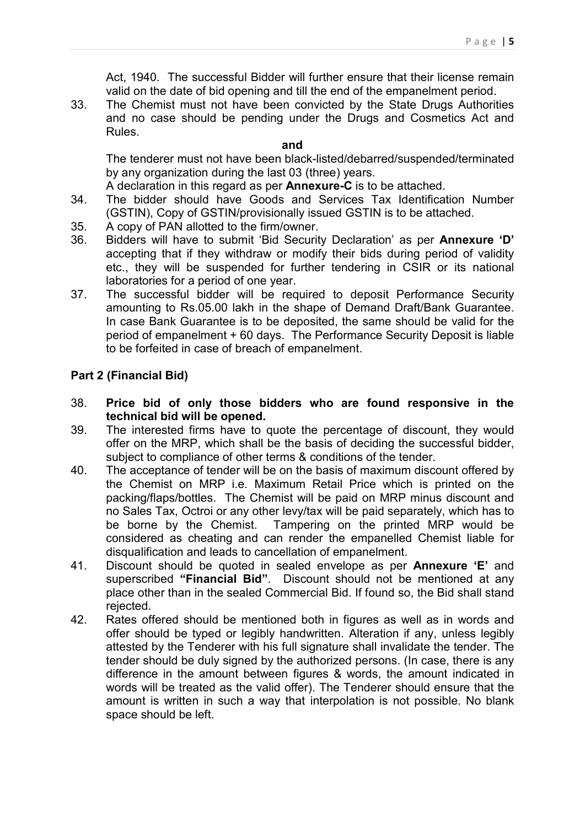Act, 1940. The successful Bidder will further ensure that their license remain valid on the date of bid opening and till the end of the empanelment period.

33. The Chemist must not have been convicted by the State Drugs Authorities and no case should be pending under the Drugs and Cosmetics Act and Rules.

#### and

The tenderer must not have been black-listed/debarred/suspended/terminated by any organization during the last 03 (three) years.

A declaration in this regard as per Annexure-C is to be attached.

- 34. The bidder should have Goods and Services Tax Identification Number (GSTIN), Copy of GSTIN/provisionally issued GSTIN is to be attached.
- 35. A copy of PAN allotted to the firm/owner.
- 36. Bidders will have to submit 'Bid Security Declaration' as per Annexure 'D' accepting that if they withdraw or modify their bids during period of validity etc., they will be suspended for further tendering in CSIR or its national laboratories for a period of one year.
- 37. The successful bidder will be required to deposit Performance Security amounting to Rs.05.00 lakh in the shape of Demand Draft/Bank Guarantee. In case Bank Guarantee is to be deposited, the same should be valid for the period of empanelment + 60 days. The Performance Security Deposit is liable to be forfeited in case of breach of empanelment.

## Part 2 (Financial Bid)

- 38. Price bid of only those bidders who are found responsive in the technical bid will be opened.
- 39. The interested firms have to quote the percentage of discount, they would offer on the MRP, which shall be the basis of deciding the successful bidder, subject to compliance of other terms & conditions of the tender.
- 40. The acceptance of tender will be on the basis of maximum discount offered by the Chemist on MRP i.e. Maximum Retail Price which is printed on the packing/flaps/bottles. The Chemist will be paid on MRP minus discount and no Sales Tax, Octroi or any other levy/tax will be paid separately, which has to be borne by the Chemist. Tampering on the printed MRP would be considered as cheating and can render the empanelled Chemist liable for disqualification and leads to cancellation of empanelment.
- 41. Discount should be quoted in sealed envelope as per **Annexure 'E'** and superscribed "Financial Bid". Discount should not be mentioned at any place other than in the sealed Commercial Bid. If found so, the Bid shall stand rejected.
- 42. Rates offered should be mentioned both in figures as well as in words and offer should be typed or legibly handwritten. Alteration if any, unless legibly attested by the Tenderer with his full signature shall invalidate the tender. The tender should be duly signed by the authorized persons. (In case, there is any difference in the amount between figures & words, the amount indicated in words will be treated as the valid offer). The Tenderer should ensure that the amount is written in such a way that interpolation is not possible. No blank space should be left.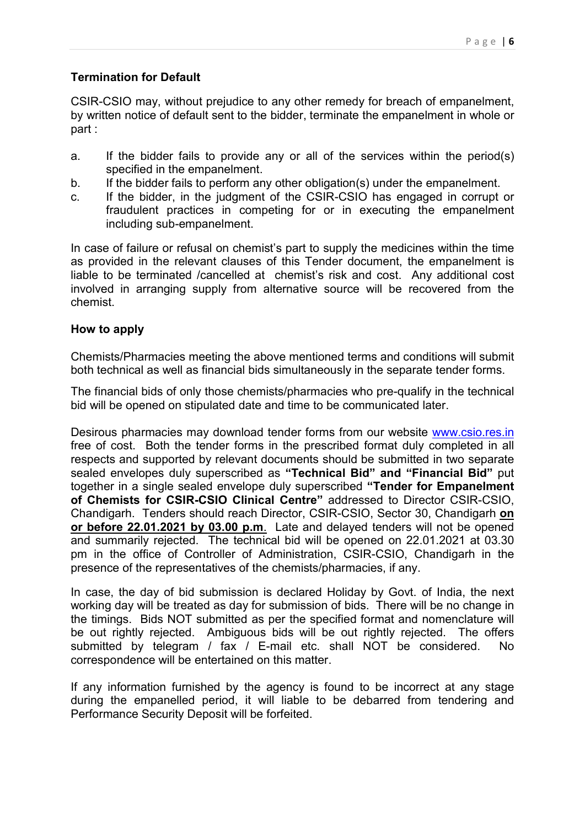# Termination for Default

CSIR-CSIO may, without prejudice to any other remedy for breach of empanelment, by written notice of default sent to the bidder, terminate the empanelment in whole or part :

- a. If the bidder fails to provide any or all of the services within the period(s) specified in the empanelment.
- b. If the bidder fails to perform any other obligation(s) under the empanelment.
- c. If the bidder, in the judgment of the CSIR-CSIO has engaged in corrupt or fraudulent practices in competing for or in executing the empanelment including sub-empanelment.

In case of failure or refusal on chemist's part to supply the medicines within the time as provided in the relevant clauses of this Tender document, the empanelment is liable to be terminated /cancelled at chemist's risk and cost. Any additional cost involved in arranging supply from alternative source will be recovered from the chemist.

## How to apply

Chemists/Pharmacies meeting the above mentioned terms and conditions will submit both technical as well as financial bids simultaneously in the separate tender forms.

The financial bids of only those chemists/pharmacies who pre-qualify in the technical bid will be opened on stipulated date and time to be communicated later.

Desirous pharmacies may download tender forms from our website www.csio.res.in free of cost. Both the tender forms in the prescribed format duly completed in all respects and supported by relevant documents should be submitted in two separate sealed envelopes duly superscribed as "Technical Bid" and "Financial Bid" put together in a single sealed envelope duly superscribed "Tender for Empanelment of Chemists for CSIR-CSIO Clinical Centre" addressed to Director CSIR-CSIO, Chandigarh. Tenders should reach Director, CSIR-CSIO, Sector 30, Chandigarh on or before 22.01.2021 by 03.00 p.m. Late and delayed tenders will not be opened and summarily rejected. The technical bid will be opened on 22.01.2021 at 03.30 pm in the office of Controller of Administration, CSIR-CSIO, Chandigarh in the presence of the representatives of the chemists/pharmacies, if any.

In case, the day of bid submission is declared Holiday by Govt. of India, the next working day will be treated as day for submission of bids. There will be no change in the timings. Bids NOT submitted as per the specified format and nomenclature will be out rightly rejected. Ambiguous bids will be out rightly rejected. The offers submitted by telegram / fax / E-mail etc. shall NOT be considered. No correspondence will be entertained on this matter.

If any information furnished by the agency is found to be incorrect at any stage during the empanelled period, it will liable to be debarred from tendering and Performance Security Deposit will be forfeited.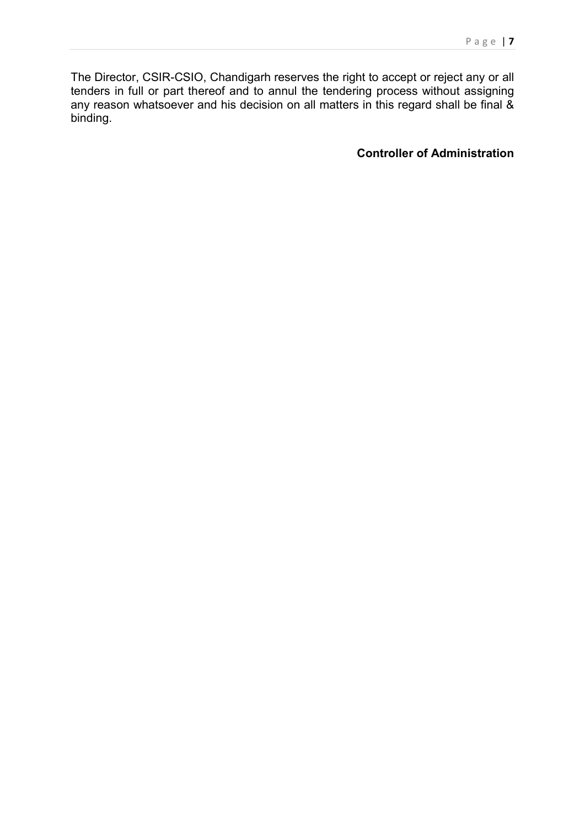The Director, CSIR-CSIO, Chandigarh reserves the right to accept or reject any or all tenders in full or part thereof and to annul the tendering process without assigning any reason whatsoever and his decision on all matters in this regard shall be final & binding.

Controller of Administration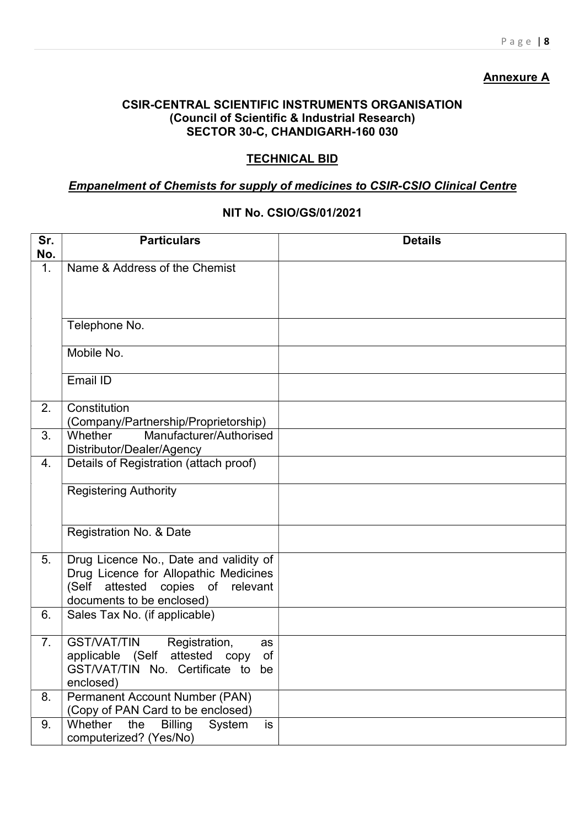# **Annexure A**

## CSIR-CENTRAL SCIENTIFIC INSTRUMENTS ORGANISATION (Council of Scientific & Industrial Research) SECTOR 30-C, CHANDIGARH-160 030

# TECHNICAL BID

# Empanelment of Chemists for supply of medicines to CSIR-CSIO Clinical Centre

# NIT No. CSIO/GS/01/2021

| Sr.<br>No. | <b>Particulars</b>                                                                                                                                      | <b>Details</b> |
|------------|---------------------------------------------------------------------------------------------------------------------------------------------------------|----------------|
| 1.         | Name & Address of the Chemist                                                                                                                           |                |
|            | Telephone No.                                                                                                                                           |                |
|            | Mobile No.                                                                                                                                              |                |
|            | Email ID                                                                                                                                                |                |
| 2.         | Constitution<br>(Company/Partnership/Proprietorship)                                                                                                    |                |
| 3.         | Manufacturer/Authorised<br>Whether<br>Distributor/Dealer/Agency                                                                                         |                |
| 4.         | Details of Registration (attach proof)                                                                                                                  |                |
|            | <b>Registering Authority</b>                                                                                                                            |                |
|            | Registration No. & Date                                                                                                                                 |                |
| 5.         | Drug Licence No., Date and validity of<br>Drug Licence for Allopathic Medicines<br>copies of relevant<br>(Self<br>attested<br>documents to be enclosed) |                |
| 6.         | Sales Tax No. (if applicable)                                                                                                                           |                |
| 7.         | <b>GST/VAT/TIN</b><br>Registration,<br>as<br>attested copy<br>applicable (Self<br>οf<br>GST/VAT/TIN No. Certificate to<br>be.<br>enclosed)              |                |
| 8.         | Permanent Account Number (PAN)<br>(Copy of PAN Card to be enclosed)                                                                                     |                |
| 9.         | Whether<br>the<br><b>Billing</b><br>System<br>is<br>computerized? (Yes/No)                                                                              |                |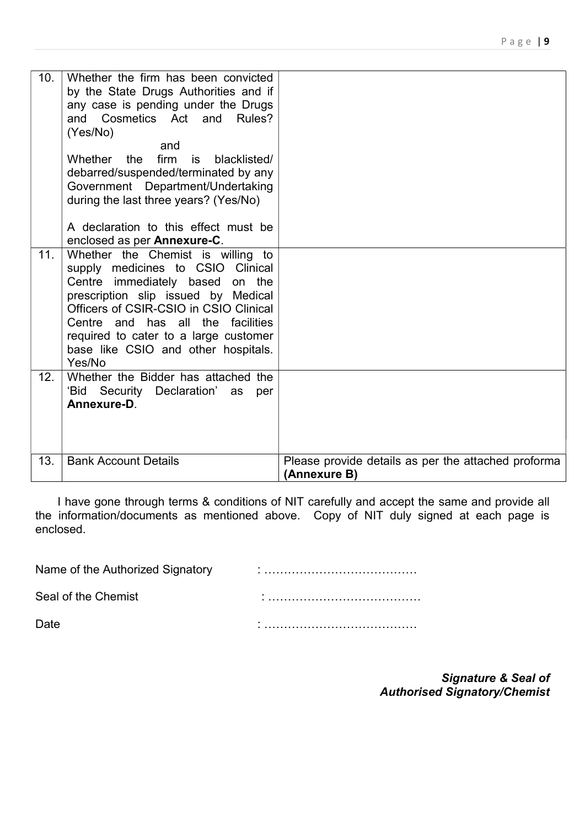| 10 <sub>1</sub> | Whether the firm has been convicted<br>by the State Drugs Authorities and if<br>any case is pending under the Drugs<br>and Cosmetics Act and Rules?<br>(Yes/No)<br>and<br>Whether the<br>firm<br>is<br>blacklisted/<br>debarred/suspended/terminated by any<br>Government Department/Undertaking<br>during the last three years? (Yes/No)<br>A declaration to this effect must be<br>enclosed as per Annexure-C. |                                                                     |
|-----------------|------------------------------------------------------------------------------------------------------------------------------------------------------------------------------------------------------------------------------------------------------------------------------------------------------------------------------------------------------------------------------------------------------------------|---------------------------------------------------------------------|
| 11.             | Whether the Chemist is willing to<br>supply medicines to CSIO<br><b>Clinical</b><br>Centre immediately based on the<br>prescription slip issued by Medical<br>Officers of CSIR-CSIO in CSIO Clinical<br>Centre and has all the facilities<br>required to cater to a large customer<br>base like CSIO and other hospitals.<br>Yes/No                                                                              |                                                                     |
| 12.             | Whether the Bidder has attached the<br>'Bid Security Declaration' as<br>per<br>Annexure-D.                                                                                                                                                                                                                                                                                                                       |                                                                     |
| 13.             | <b>Bank Account Details</b>                                                                                                                                                                                                                                                                                                                                                                                      | Please provide details as per the attached proforma<br>(Annexure B) |

 I have gone through terms & conditions of NIT carefully and accept the same and provide all the information/documents as mentioned above. Copy of NIT duly signed at each page is enclosed.

Name of the Authorized Signatory in the influence of the Authorized Signatory in the influence of the Authoriz

Seal of the Chemist **Seal of the Chemist** in the seal of the Chemist

Date : …………………………………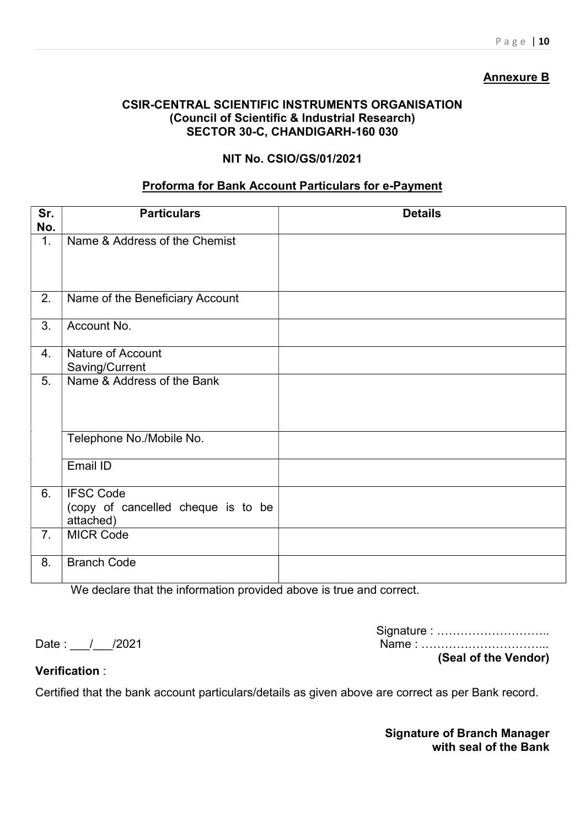# Annexure B

## CSIR-CENTRAL SCIENTIFIC INSTRUMENTS ORGANISATION (Council of Scientific & Industrial Research) SECTOR 30-C, CHANDIGARH-160 030

# NIT No. CSIO/GS/01/2021

### Proforma for Bank Account Particulars for e-Payment

| Sr.<br>No. | <b>Particulars</b>                                                  | <b>Details</b> |
|------------|---------------------------------------------------------------------|----------------|
| 1.         | Name & Address of the Chemist                                       |                |
| 2.         | Name of the Beneficiary Account                                     |                |
| 3.         | Account No.                                                         |                |
| 4.         | <b>Nature of Account</b><br>Saving/Current                          |                |
| 5.         | Name & Address of the Bank                                          |                |
|            | Telephone No./Mobile No.                                            |                |
|            | Email ID                                                            |                |
| 6.         | <b>IFSC Code</b><br>(copy of cancelled cheque is to be<br>attached) |                |
| 7.         | <b>MICR Code</b>                                                    |                |
| 8.         | <b>Branch Code</b>                                                  |                |

We declare that the information provided above is true and correct.

Date : / / /2021

| Signature :          |  |
|----------------------|--|
|                      |  |
| (Seal of the Vendor) |  |

Verification :

Certified that the bank account particulars/details as given above are correct as per Bank record.

Signature of Branch Manager with seal of the Bank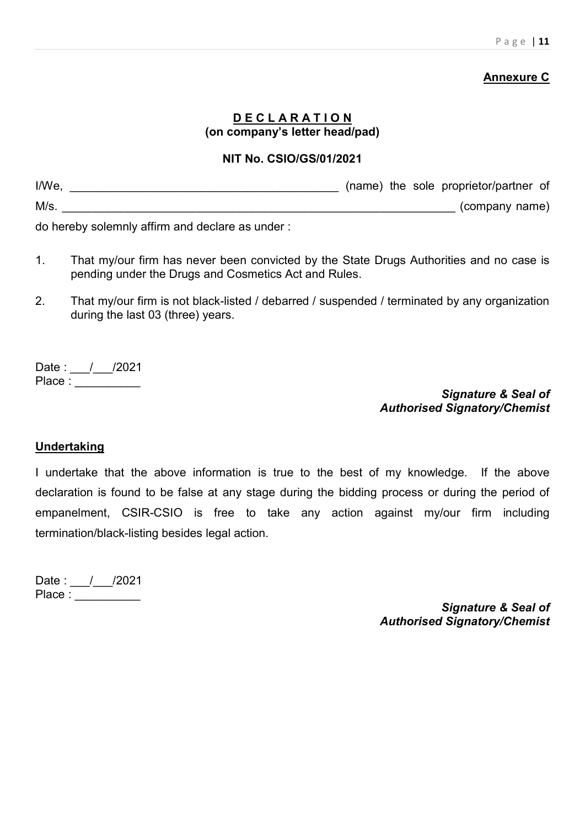# Annexure C

# D E C L A R A T I O N (on company's letter head/pad)

## NIT No. CSIO/GS/01/2021

| $I/We$ , |     |  | (name) the sole proprietor/partner of |
|----------|-----|--|---------------------------------------|
| $M/s$ .  |     |  | (company name)                        |
|          | --- |  |                                       |

do hereby solemnly affirm and declare as under :

- 1. That my/our firm has never been convicted by the State Drugs Authorities and no case is pending under the Drugs and Cosmetics Act and Rules.
- 2. That my/our firm is not black-listed / debarred / suspended / terminated by any organization during the last 03 (three) years.

Date : \_\_\_/\_\_\_/2021 Place : \_\_\_\_\_\_\_\_\_\_\_

> Signature & Seal of Authorised Signatory/Chemist

# Undertaking

I undertake that the above information is true to the best of my knowledge. If the above declaration is found to be false at any stage during the bidding process or during the period of empanelment, CSIR-CSIO is free to take any action against my/our firm including termination/black-listing besides legal action.

Date : \_\_\_/\_\_\_/2021 Place :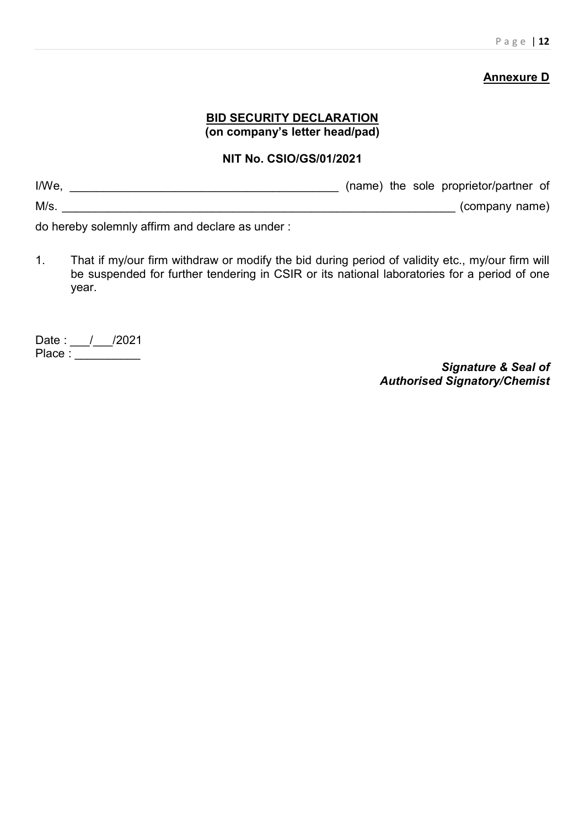# **Annexure D**

# **BID SECURITY DECLARATION** (on company's letter head/pad)

## NIT No. CSIO/GS/01/2021

| I/We |  | (name) the sole proprietor/partner of |
|------|--|---------------------------------------|
| M/s  |  | (company name)                        |

do hereby solemnly affirm and declare as under :

1. That if my/our firm withdraw or modify the bid during period of validity etc., my/our firm will be suspended for further tendering in CSIR or its national laboratories for a period of one year.

Date : \_\_\_/\_\_\_/2021 Place :  $\frac{\frac{1}{1-\frac{1}{1-\frac{1}{1-\frac{1}{1-\frac{1}{1-\frac{1}{1-\frac{1}{1-\frac{1}{1-\frac{1}{1-\frac{1}{1-\frac{1}{1-\frac{1}{1-\frac{1}{1-\frac{1}{1-\frac{1}{1-\frac{1}{1-\frac{1}{1-\frac{1}{1-\frac{1}{1-\frac{1}{1-\frac{1}{1-\frac{1}{1-\frac{1}{1-\frac{1}{1-\frac{1}{1-\frac{1}{1-\frac{1}{1-\frac{1}{1-\frac{1}{1-\frac{1}{1-\frac{1}{1-\frac{1}{1-\frac{1}{1-\frac{1}{1-\frac{1}{1$